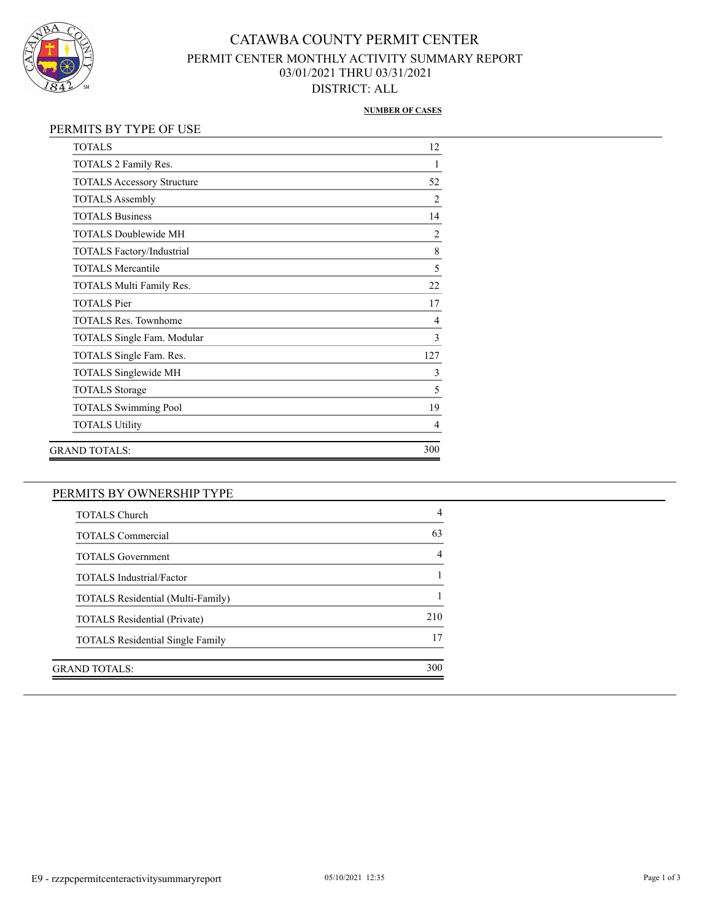

## CATAWBA COUNTY PERMIT CENTER PERMIT CENTER MONTHLY ACTIVITY SUMMARY REPORT 03/01/2021 THRU 03/31/2021 DISTRICT: ALL

#### **NUMBER OF CASES**

### PERMITS BY TYPE OF USE

| <b>TOTALS</b>                     | 12             |
|-----------------------------------|----------------|
| TOTALS 2 Family Res.              | 1              |
| <b>TOTALS Accessory Structure</b> | 52             |
| <b>TOTALS</b> Assembly            | $\overline{2}$ |
| <b>TOTALS Business</b>            | 14             |
| <b>TOTALS Doublewide MH</b>       | $\overline{2}$ |
| TOTALS Factory/Industrial         | 8              |
| <b>TOTALS Mercantile</b>          | 5              |
| TOTALS Multi Family Res.          | 22             |
| <b>TOTALS</b> Pier                | 17             |
| <b>TOTALS Res. Townhome</b>       | $\overline{4}$ |
| <b>TOTALS Single Fam. Modular</b> | 3              |
| TOTALS Single Fam. Res.           | 127            |
| TOTALS Singlewide MH              | 3              |
| <b>TOTALS</b> Storage             | 5              |
| <b>TOTALS Swimming Pool</b>       | 19             |
| <b>TOTALS Utility</b>             | $\overline{4}$ |
| GRAND TOTALS:                     | 300            |

### PERMITS BY OWNERSHIP TYPE

| <b>TOTALS Church</b>                     |     |
|------------------------------------------|-----|
| <b>TOTALS</b> Commercial                 | 63  |
| <b>TOTALS</b> Government                 |     |
| <b>TOTALS</b> Industrial/Factor          |     |
| <b>TOTALS Residential (Multi-Family)</b> |     |
| <b>TOTALS Residential (Private)</b>      | 210 |
| <b>TOTALS</b> Residential Single Family  | 17  |
| GRAND TOTALS:                            | 300 |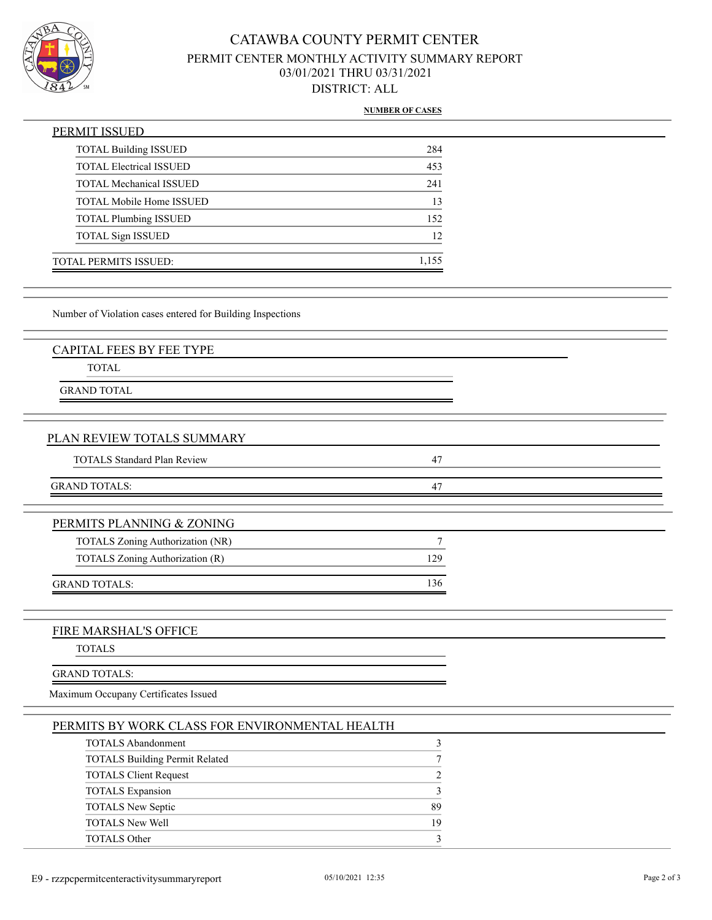

## CATAWBA COUNTY PERMIT CENTER PERMIT CENTER MONTHLY ACTIVITY SUMMARY REPORT 03/01/2021 THRU 03/31/2021 DISTRICT: ALL

#### **NUMBER OF CASES**

| PERMIT ISSUED                   |       |
|---------------------------------|-------|
| <b>TOTAL Building ISSUED</b>    | 284   |
| <b>TOTAL Electrical ISSUED</b>  | 453   |
| <b>TOTAL Mechanical ISSUED</b>  | 241   |
| <b>TOTAL Mobile Home ISSUED</b> | 13    |
| <b>TOTAL Plumbing ISSUED</b>    | 152   |
| <b>TOTAL Sign ISSUED</b>        | 12    |
| TOTAL PERMITS ISSUED:           | 1,155 |

Number of Violation cases entered for Building Inspections

TOTAL

GRAND TOTAL

#### PLAN REVIEW TOTALS SUMMARY

| <b>TOTALS Standard Plan Review</b> |  |
|------------------------------------|--|
|                                    |  |
| GRAND TOTALS:                      |  |
|                                    |  |

| PERMITS PLANNING & ZONING               |     |
|-----------------------------------------|-----|
| <b>TOTALS Zoning Authorization (NR)</b> |     |
| TOTALS Zoning Authorization (R)         | 129 |
| <b>GRAND TOTALS:</b>                    |     |

### FIRE MARSHAL'S OFFICE

TOTALS

#### GRAND TOTALS:

Maximum Occupany Certificates Issued

|  | PERMITS BY WORK CLASS FOR ENVIRONMENTAL HEALTH |  |
|--|------------------------------------------------|--|
|  |                                                |  |

| <b>TOTALS Abandonment</b>             |                         |
|---------------------------------------|-------------------------|
| <b>TOTALS Building Permit Related</b> |                         |
| <b>TOTALS Client Request</b>          | $\mathcal{D}_{1}^{(1)}$ |
| <b>TOTALS Expansion</b>               |                         |
| TOTALS New Septic                     | 89                      |
| <b>TOTALS New Well</b>                | 19                      |
| TOTALS Other                          | 3                       |